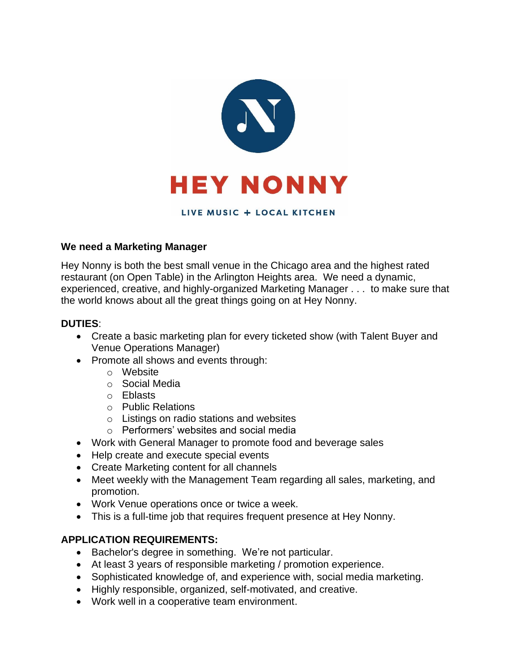

#### LIVE MUSIC + LOCAL KITCHEN

### **We need a Marketing Manager**

Hey Nonny is both the best small venue in the Chicago area and the highest rated restaurant (on Open Table) in the Arlington Heights area. We need a dynamic, experienced, creative, and highly-organized Marketing Manager . . . to make sure that the world knows about all the great things going on at Hey Nonny.

#### **DUTIES**:

- Create a basic marketing plan for every ticketed show (with Talent Buyer and Venue Operations Manager)
- Promote all shows and events through:
	- o Website
	- o Social Media
	- o Eblasts
	- o Public Relations
	- o Listings on radio stations and websites
	- $\circ$  Performers' websites and social media
- Work with General Manager to promote food and beverage sales
- Help create and execute special events
- Create Marketing content for all channels
- Meet weekly with the Management Team regarding all sales, marketing, and promotion.
- Work Venue operations once or twice a week.
- This is a full-time job that requires frequent presence at Hey Nonny.

## **APPLICATION REQUIREMENTS:**

- Bachelor's degree in something. We're not particular.
- At least 3 years of responsible marketing / promotion experience.
- Sophisticated knowledge of, and experience with, social media marketing.
- Highly responsible, organized, self-motivated, and creative.
- Work well in a cooperative team environment.